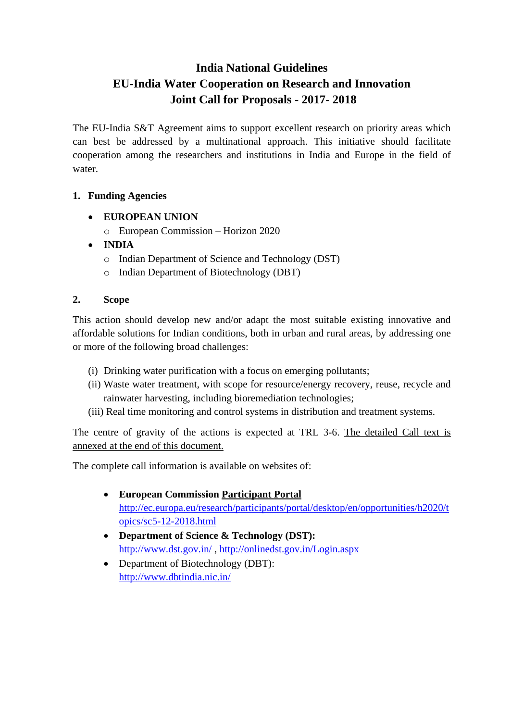# **India National Guidelines EU-India Water Cooperation on Research and Innovation Joint Call for Proposals - 2017- 2018**

The EU-India S&T Agreement aims to support excellent research on priority areas which can best be addressed by a multinational approach. This initiative should facilitate cooperation among the researchers and institutions in India and Europe in the field of water.

# **1. Funding Agencies**

- **EUROPEAN UNION** 
	- o European Commission Horizon 2020
- **INDIA**
	- o Indian Department of Science and Technology (DST)
	- o Indian Department of Biotechnology (DBT)

### **2. Scope**

This action should develop new and/or adapt the most suitable existing innovative and affordable solutions for Indian conditions, both in urban and rural areas, by addressing one or more of the following broad challenges:

- (i) Drinking water purification with a focus on emerging pollutants;
- (ii) Waste water treatment, with scope for resource/energy recovery, reuse, recycle and rainwater harvesting, including bioremediation technologies;
- (iii) Real time monitoring and control systems in distribution and treatment systems.

The centre of gravity of the actions is expected at TRL 3-6. The detailed Call text is annexed at the end of this document.

The complete call information is available on websites of:

- **European Commission Participant Portal** http:/[/ec.europa.eu/research/participants/portal/desktop/en/opportunities/h2020/t](http://ec.europa.eu/research/participants/portal/desktop/en/opportunities/h2020/topics/sc5-12-2018.html) [opics/sc5-12-2018.html](http://ec.europa.eu/research/participants/portal/desktop/en/opportunities/h2020/topics/sc5-12-2018.html)
- **Department of Science & Technology (DST):** <http://www.dst.gov.in/> ,<http://onlinedst.gov.in/Login.aspx>
- Department of Biotechnology (DBT): <http://www.dbtindia.nic.in/>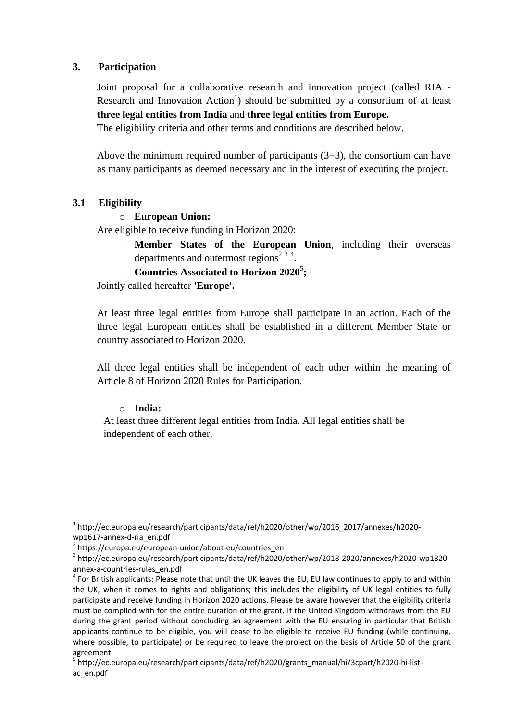#### **3. Participation**

Joint proposal for a collaborative research and innovation project (called RIA - Research and Innovation  $Action<sup>1</sup>$  should be submitted by a consortium of at least **three legal entities from India** and **three legal entities from Europe.**

The eligibility criteria and other terms and conditions are described below.

Above the minimum required number of participants  $(3+3)$ , the consortium can have as many participants as deemed necessary and in the interest of executing the project.

### **3.1 Eligibility**

#### o **European Union:**

Are eligible to receive funding in Horizon 2020:

- **Member States of the European Union**, including their overseas departments and outermost regions<sup>2 3 4</sup>.
- **Countries Associated to Horizon 2020**<sup>5</sup> **;**

Jointly called hereafter **'Europe'.**

At least three legal entities from Europe shall participate in an action. Each of the three legal European entities shall be established in a different Member State or country associated to Horizon 2020.

All three legal entities shall be independent of each other within the meaning of Article 8 of Horizon 2020 Rules for Participation.

#### o **India:**

 $\overline{a}$ 

At least three different legal entities from India. All legal entities shall be independent of each other.

<sup>1</sup> http://ec.europa.eu/research/participants/data/ref/h2020/other/wp/2016\_2017/annexes/h2020 wp1617-annex-d-ria\_en.pdf

<sup>2</sup> https://europa.eu/european-union/about-eu/countries\_en

<sup>3</sup> http://ec.europa.eu/research/participants/data/ref/h2020/other/wp/2018-2020/annexes/h2020-wp1820 annex-a-countries-rules\_en.pdf

 $<sup>4</sup>$  For British applicants: Please note that until the UK leaves the EU, EU law continues to apply to and within</sup> the UK, when it comes to rights and obligations; this includes the eligibility of UK legal entities to fully participate and receive funding in Horizon 2020 actions. Please be aware however that the eligibility criteria must be complied with for the entire duration of the grant. If the United Kingdom withdraws from the EU during the grant period without concluding an agreement with the EU ensuring in particular that British applicants continue to be eligible, you will cease to be eligible to receive EU funding (while continuing, where possible, to participate) or be required to leave the project on the basis of Article 50 of the grant agreement.

<sup>&</sup>lt;sup>5</sup> http://ec.europa.eu/research/participants/data/ref/h2020/grants\_manual/hi/3cpart/h2020-hi-listac\_en.pdf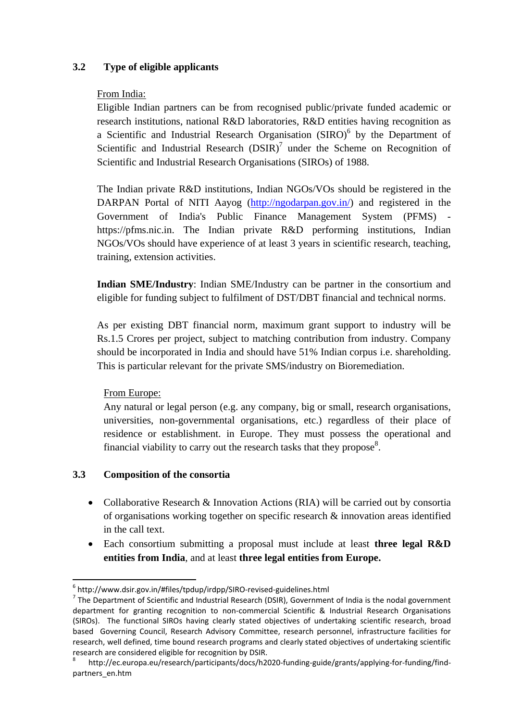### **3.2 Type of eligible applicants**

### From India:

Eligible Indian partners can be from recognised public/private funded academic or research institutions, national R&D laboratories, R&D entities having recognition as a Scientific and Industrial Research Organisation (SIRO)<sup>6</sup> by the Department of Scientific and Industrial Research  $(DSIR)^7$  under the Scheme on Recognition of Scientific and Industrial Research Organisations (SIROs) of 1988.

The Indian private R&D institutions, Indian NGOs/VOs should be registered in the DARPAN Portal of NITI Aayog [\(http://ngodarpan.gov.in/\)](http://ngodarpan.gov.in/) and registered in the Government of India's Public Finance Management System (PFMS) https://pfms.nic.in. The Indian private R&D performing institutions. Indian NGOs/VOs should have experience of at least 3 years in scientific research, teaching, training, extension activities.

**Indian SME/Industry**: Indian SME/Industry can be partner in the consortium and eligible for funding subject to fulfilment of DST/DBT financial and technical norms.

As per existing DBT financial norm, maximum grant support to industry will be Rs.1.5 Crores per project, subject to matching contribution from industry. Company should be incorporated in India and should have 51% Indian corpus i.e. shareholding. This is particular relevant for the private SMS/industry on Bioremediation.

### From Europe:

 $\overline{a}$ 

Any natural or legal person (e.g. any company, big or small, research organisations, universities, non-governmental organisations, etc.) regardless of their place of residence or establishment. in Europe. They must possess the operational and financial viability to carry out the research tasks that they propose<sup>8</sup>.

### **3.3 Composition of the consortia**

- Collaborative Research & Innovation Actions (RIA) will be carried out by consortia of organisations working together on specific research & innovation areas identified in the call text.
- Each consortium submitting a proposal must include at least **three legal R&D entities from India**, and at least **three legal entities from Europe.**

 $^6$  http://www.dsir.gov.in/#files/tpdup/irdpp/SIRO-revised-guidelines.html

 $<sup>7</sup>$  The Department of Scientific and Industrial Research (DSIR), Government of India is the nodal government</sup> department for granting recognition to non-commercial Scientific & Industrial Research Organisations (SIROs). The functional SIROs having clearly stated objectives of undertaking scientific research, broad based Governing Council, Research Advisory Committee, research personnel, infrastructure facilities for research, well defined, time bound research programs and clearly stated objectives of undertaking scientific research are considered eligible for recognition by DSIR.

<sup>8</sup> http://ec.europa.eu/research/participants/docs/h2020-funding-guide/grants/applying-for-funding/findpartners\_en.htm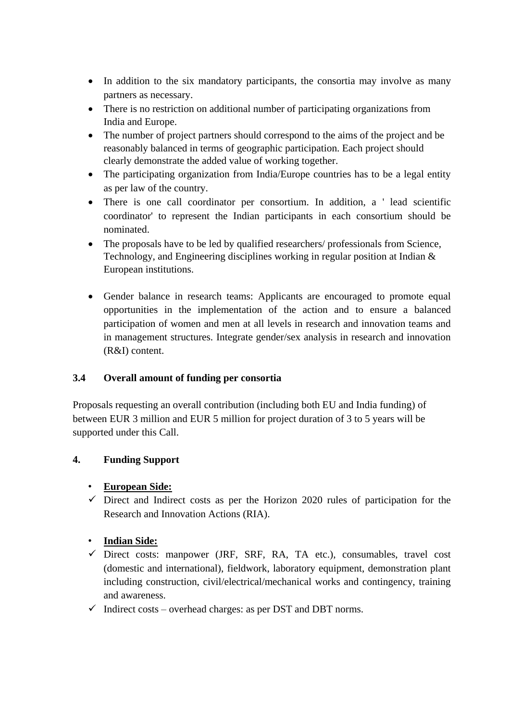- In addition to the six mandatory participants, the consortia may involve as many partners as necessary.
- There is no restriction on additional number of participating organizations from India and Europe.
- The number of project partners should correspond to the aims of the project and be reasonably balanced in terms of geographic participation. Each project should clearly demonstrate the added value of working together.
- The participating organization from India/Europe countries has to be a legal entity as per law of the country.
- There is one call coordinator per consortium. In addition, a ' lead scientific coordinator' to represent the Indian participants in each consortium should be nominated.
- The proposals have to be led by qualified researchers/ professionals from Science, Technology, and Engineering disciplines working in regular position at Indian & European institutions.
- Gender balance in research teams: Applicants are encouraged to promote equal opportunities in the implementation of the action and to ensure a balanced participation of women and men at all levels in research and innovation teams and in management structures. Integrate gender/sex analysis in research and innovation (R&I) content.

# **3.4 Overall amount of funding per consortia**

Proposals requesting an overall contribution (including both EU and India funding) of between EUR 3 million and EUR 5 million for project duration of 3 to 5 years will be supported under this Call.

# **4. Funding Support**

# • **European Side:**

 $\checkmark$  Direct and Indirect costs as per the Horizon 2020 rules of participation for the Research and Innovation Actions (RIA).

# • **Indian Side:**

- $\checkmark$  Direct costs: manpower (JRF, SRF, RA, TA etc.), consumables, travel cost (domestic and international), fieldwork, laboratory equipment, demonstration plant including construction, civil/electrical/mechanical works and contingency, training and awareness.
- $\checkmark$  Indirect costs overhead charges: as per DST and DBT norms.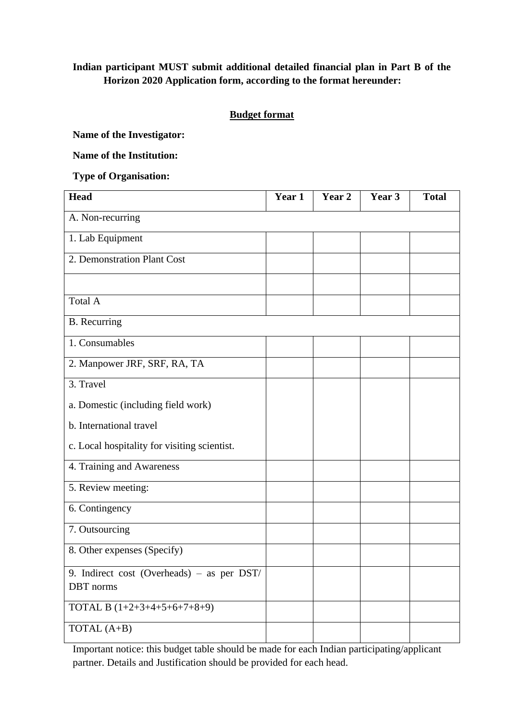# **Indian participant MUST submit additional detailed financial plan in Part B of the Horizon 2020 Application form, according to the format hereunder:**

### **Budget format**

**Name of the Investigator:** 

**Name of the Institution:** 

**Type of Organisation:**

| <b>Head</b>                                             | Year 1 | Year 2 | Year 3 | <b>Total</b> |
|---------------------------------------------------------|--------|--------|--------|--------------|
| A. Non-recurring                                        |        |        |        |              |
| 1. Lab Equipment                                        |        |        |        |              |
| 2. Demonstration Plant Cost                             |        |        |        |              |
|                                                         |        |        |        |              |
| Total A                                                 |        |        |        |              |
| <b>B.</b> Recurring                                     |        |        |        |              |
| 1. Consumables                                          |        |        |        |              |
| 2. Manpower JRF, SRF, RA, TA                            |        |        |        |              |
| 3. Travel                                               |        |        |        |              |
| a. Domestic (including field work)                      |        |        |        |              |
| b. International travel                                 |        |        |        |              |
| c. Local hospitality for visiting scientist.            |        |        |        |              |
| 4. Training and Awareness                               |        |        |        |              |
| 5. Review meeting:                                      |        |        |        |              |
| 6. Contingency                                          |        |        |        |              |
| 7. Outsourcing                                          |        |        |        |              |
| 8. Other expenses (Specify)                             |        |        |        |              |
| 9. Indirect cost (Overheads) - as per DST/<br>DBT norms |        |        |        |              |
| TOTAL B $(1+2+3+4+5+6+7+8+9)$                           |        |        |        |              |
| TOTAL (A+B)                                             |        |        |        |              |

Important notice: this budget table should be made for each Indian participating/applicant partner. Details and Justification should be provided for each head.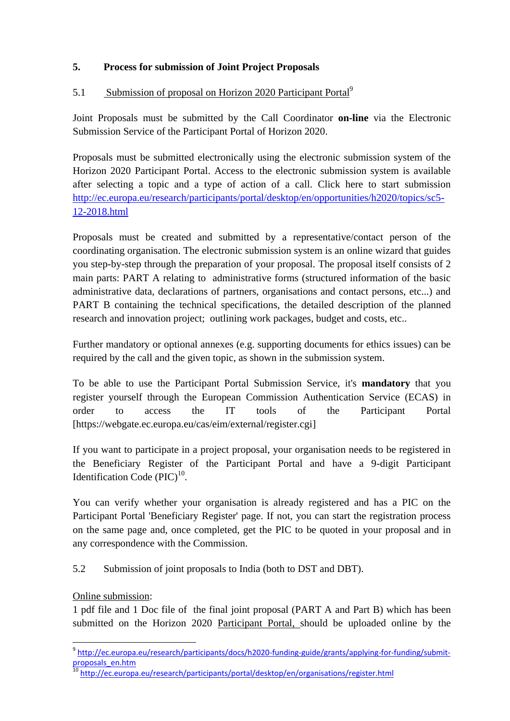### **5. Process for submission of Joint Project Proposals**

### 5.1 Submission of proposal on Horizon 2020 Participant Portal<sup>9</sup>

Joint Proposals must be submitted by the Call Coordinator **on-line** via the Electronic Submission Service of the Participant Portal of Horizon 2020.

Proposals must be submitted electronically using the electronic submission system of the Horizon 2020 Participant Portal. Access to the electronic submission system is available after selecting a topic and a type of action of a call. Click here to start submission [http://ec.europa.eu/research/participants/portal/desktop/en/opportunities/h2020/topics/sc5-](http://ec.europa.eu/research/participants/portal/desktop/en/opportunities/h2020/topics/sc5-12-2018.html) [12-2018.html](http://ec.europa.eu/research/participants/portal/desktop/en/opportunities/h2020/topics/sc5-12-2018.html)

Proposals must be created and submitted by a representative/contact person of the coordinating organisation. The electronic submission system is an online wizard that guides you step-by-step through the preparation of your proposal. The proposal itself consists of 2 main parts: PART A relating to administrative forms (structured information of the basic administrative data, declarations of partners, organisations and contact persons, etc...) and PART B containing the technical specifications, the detailed description of the planned research and innovation project; outlining work packages, budget and costs, etc..

Further mandatory or optional annexes (e.g. supporting documents for ethics issues) can be required by the call and the given topic, as shown in the submission system.

To be able to use the Participant Portal Submission Service, it's **mandatory** that you register yourself through the European Commission Authentication Service (ECAS) in order to access the IT tools of the Participant Portal [https://webgate.ec.europa.eu/cas/eim/external/register.cgi]

If you want to participate in a project proposal, your organisation needs to be registered in the Beneficiary Register of the Participant Portal and have a 9-digit Participant Identification Code  $(PIC)^{10}$ .

You can verify whether your organisation is already registered and has a PIC on the Participant Portal 'Beneficiary Register' page. If not, you can start the registration process on the same page and, once completed, get the PIC to be quoted in your proposal and in any correspondence with the Commission.

5.2 Submission of joint proposals to India (both to DST and DBT).

Online submission:

 $\overline{a}$ 

1 pdf file and 1 Doc file of the final joint proposal (PART A and Part B) which has been submitted on the Horizon 2020 Participant Portal, should be uploaded online by the

<sup>&</sup>lt;sup>9</sup> [http://ec.europa.eu/research/participants/docs/h2020-funding-guide/grants/applying-for-funding/submit](http://ec.europa.eu/research/participants/docs/h2020-funding-guide/grants/applying-for-funding/submit-proposals_en.htm)[proposals\\_en.htm](http://ec.europa.eu/research/participants/docs/h2020-funding-guide/grants/applying-for-funding/submit-proposals_en.htm)

<sup>10</sup> <http://ec.europa.eu/research/participants/portal/desktop/en/organisations/register.html>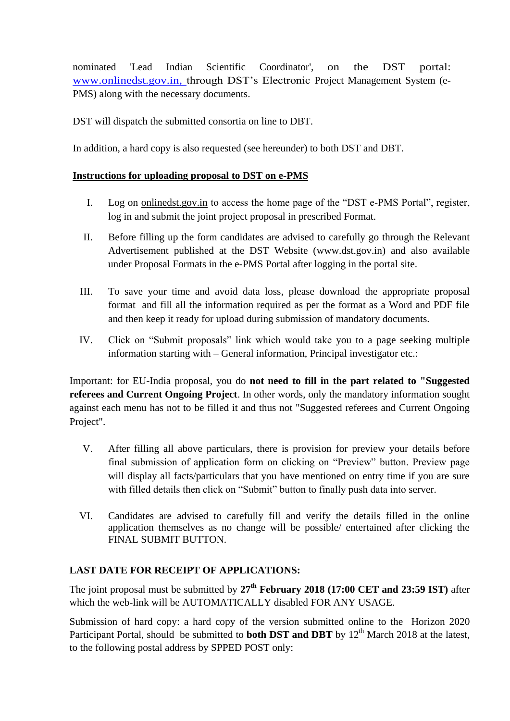nominated 'Lead Indian Scientific Coordinator', on the DST portal: [www.onlinedst.gov.in,](http://www.onlinedst.gov.in/) through DST's Electronic Project Management System (e-PMS) along with the necessary documents.

DST will dispatch the submitted consortia on line to DBT.

In addition, a hard copy is also requested (see hereunder) to both DST and DBT.

### **Instructions for uploading proposal to DST on e-PMS**

- I. Log on [onlinedst.gov.in](http://upsssc.gov.in/AllNotifications.aspx) to access the home page of the "DST e-PMS Portal", register, log in and submit the joint project proposal in prescribed Format.
- II. Before filling up the form candidates are advised to carefully go through the Relevant Advertisement published at the DST Website (www.dst.gov.in) and also available under Proposal Formats in the e-PMS Portal after logging in the portal site.
- III. To save your time and avoid data loss, please download the appropriate proposal format and fill all the information required as per the format as a Word and PDF file and then keep it ready for upload during submission of mandatory documents.
- IV. Click on "Submit proposals" link which would take you to a page seeking multiple information starting with – General information, Principal investigator etc.:

Important: for EU-India proposal, you do **not need to fill in the part related to "Suggested referees and Current Ongoing Project**. In other words, only the mandatory information sought against each menu has not to be filled it and thus not "Suggested referees and Current Ongoing Project".

- V. After filling all above particulars, there is provision for preview your details before final submission of application form on clicking on "Preview" button. Preview page will display all facts/particulars that you have mentioned on entry time if you are sure with filled details then click on "Submit" button to finally push data into server.
- VI. Candidates are advised to carefully fill and verify the details filled in the online application themselves as no change will be possible/ entertained after clicking the FINAL SUBMIT BUTTON.

# **LAST DATE FOR RECEIPT OF APPLICATIONS:**

The joint proposal must be submitted by **27th February 2018 (17:00 CET and 23:59 IST)** after which the web-link will be AUTOMATICALLY disabled FOR ANY USAGE.

Submission of hard copy: a hard copy of the version submitted online to the Horizon 2020 Participant Portal, should be submitted to **both DST and DBT** by 12<sup>th</sup> March 2018 at the latest, to the following postal address by SPPED POST only: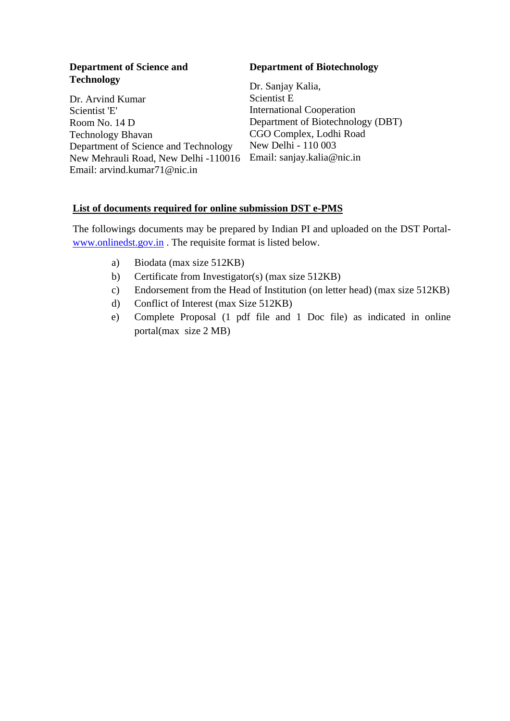#### **Department of Science and Technology**

Dr. Arvind Kumar Scientist 'E' Room No. 14 D Technology Bhavan Department of Science and Technology New Mehrauli Road, New Delhi -110016 Email: sanjay.kalia@nic.in Email: arvind.kumar71@nic.in

#### **Department of Biotechnology**

Dr. Sanjay Kalia, Scientist E International Cooperation Department of Biotechnology (DBT) CGO Complex, Lodhi Road New Delhi - 110 003

#### **List of documents required for online submission DST e-PMS**

The followings documents may be prepared by Indian PI and uploaded on the DST Portal[www.onlinedst.gov.in](http://www.onlinedst.gov.in/) . The requisite format is listed below.

- a) Biodata (max size 512KB)
- b) Certificate from Investigator(s) (max size 512KB)
- c) Endorsement from the Head of Institution (on letter head) (max size 512KB)
- d) Conflict of Interest (max Size 512KB)
- e) Complete Proposal (1 pdf file and 1 Doc file) as indicated in online portal(max size 2 MB)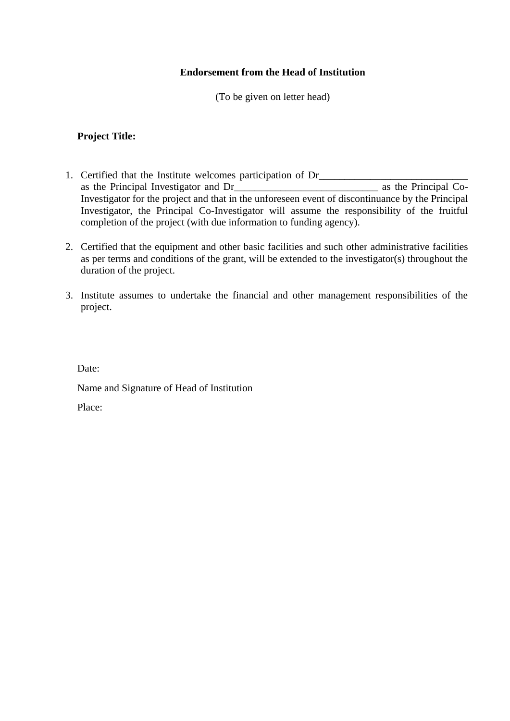### **Endorsement from the Head of Institution**

(To be given on letter head)

#### **Project Title:**

- 1. Certified that the Institute welcomes participation of Dr\_\_\_\_\_\_\_\_\_\_\_\_\_\_\_\_\_\_\_\_ as the Principal Investigator and Dr\_\_\_\_\_\_\_\_\_\_\_\_\_\_\_\_\_\_\_\_\_\_\_\_\_\_\_\_ as the Principal Co-Investigator for the project and that in the unforeseen event of discontinuance by the Principal Investigator, the Principal Co-Investigator will assume the responsibility of the fruitful completion of the project (with due information to funding agency).
- 2. Certified that the equipment and other basic facilities and such other administrative facilities as per terms and conditions of the grant, will be extended to the investigator(s) throughout the duration of the project.
- 3. Institute assumes to undertake the financial and other management responsibilities of the project.

Date:

Name and Signature of Head of Institution

Place: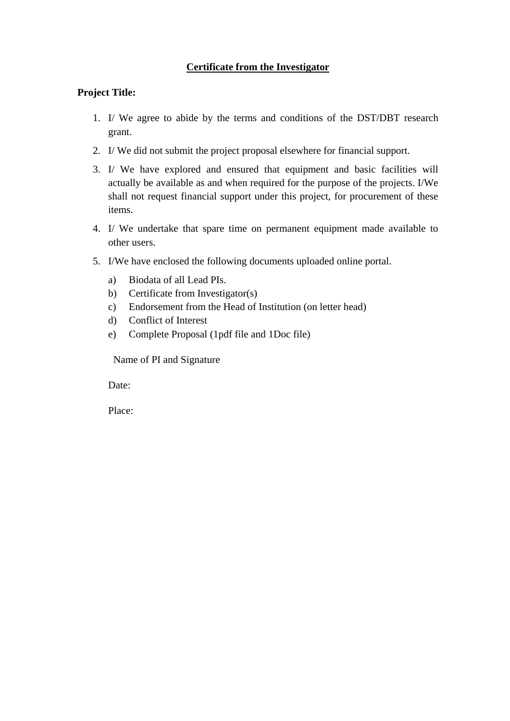### **Certificate from the Investigator**

#### **Project Title:**

- 1. I/ We agree to abide by the terms and conditions of the DST/DBT research grant.
- 2. I/ We did not submit the project proposal elsewhere for financial support.
- 3. I/ We have explored and ensured that equipment and basic facilities will actually be available as and when required for the purpose of the projects. I/We shall not request financial support under this project, for procurement of these items.
- 4. I/ We undertake that spare time on permanent equipment made available to other users.
- 5. I/We have enclosed the following documents uploaded online portal.
	- a) Biodata of all Lead PIs.
	- b) Certificate from Investigator(s)
	- c) Endorsement from the Head of Institution (on letter head)
	- d) Conflict of Interest
	- e) Complete Proposal (1pdf file and 1Doc file)

Name of PI and Signature

Date:

Place: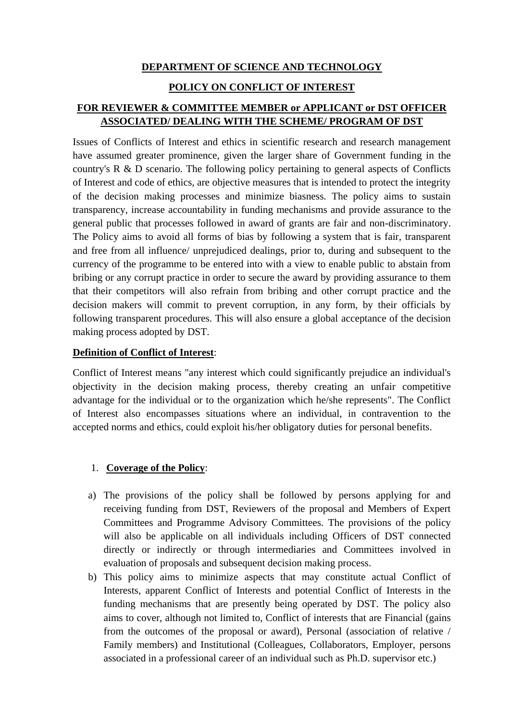### **DEPARTMENT OF SCIENCE AND TECHNOLOGY**

### **POLICY ON CONFLICT OF INTEREST**

# **FOR REVIEWER & COMMITTEE MEMBER or APPLICANT or DST OFFICER ASSOCIATED/ DEALING WITH THE SCHEME/ PROGRAM OF DST**

Issues of Conflicts of Interest and ethics in scientific research and research management have assumed greater prominence, given the larger share of Government funding in the country's R & D scenario. The following policy pertaining to general aspects of Conflicts of Interest and code of ethics, are objective measures that is intended to protect the integrity of the decision making processes and minimize biasness. The policy aims to sustain transparency, increase accountability in funding mechanisms and provide assurance to the general public that processes followed in award of grants are fair and non-discriminatory. The Policy aims to avoid all forms of bias by following a system that is fair, transparent and free from all influence/ unprejudiced dealings, prior to, during and subsequent to the currency of the programme to be entered into with a view to enable public to abstain from bribing or any corrupt practice in order to secure the award by providing assurance to them that their competitors will also refrain from bribing and other corrupt practice and the decision makers will commit to prevent corruption, in any form, by their officials by following transparent procedures. This will also ensure a global acceptance of the decision making process adopted by DST.

### **Definition of Conflict of Interest**:

Conflict of Interest means "any interest which could significantly prejudice an individual's objectivity in the decision making process, thereby creating an unfair competitive advantage for the individual or to the organization which he/she represents". The Conflict of Interest also encompasses situations where an individual, in contravention to the accepted norms and ethics, could exploit his/her obligatory duties for personal benefits.

### 1. **Coverage of the Policy**:

- a) The provisions of the policy shall be followed by persons applying for and receiving funding from DST, Reviewers of the proposal and Members of Expert Committees and Programme Advisory Committees. The provisions of the policy will also be applicable on all individuals including Officers of DST connected directly or indirectly or through intermediaries and Committees involved in evaluation of proposals and subsequent decision making process.
- b) This policy aims to minimize aspects that may constitute actual Conflict of Interests, apparent Conflict of Interests and potential Conflict of Interests in the funding mechanisms that are presently being operated by DST. The policy also aims to cover, although not limited to, Conflict of interests that are Financial (gains from the outcomes of the proposal or award), Personal (association of relative / Family members) and Institutional (Colleagues, Collaborators, Employer, persons associated in a professional career of an individual such as Ph.D. supervisor etc.)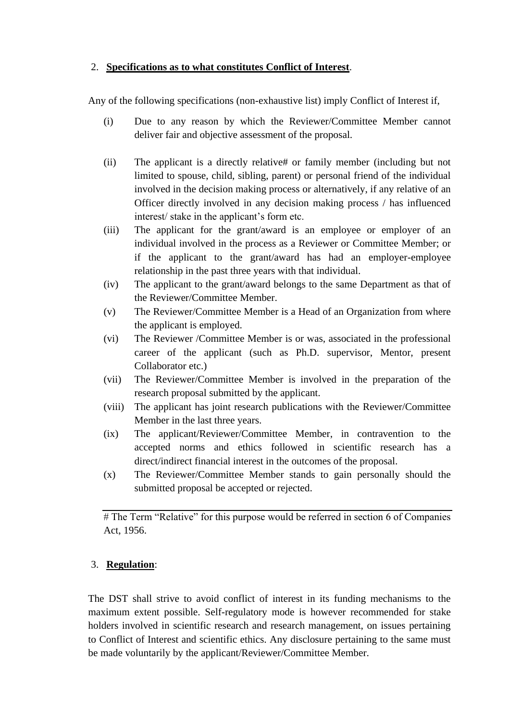### 2. **Specifications as to what constitutes Conflict of Interest**.

Any of the following specifications (non-exhaustive list) imply Conflict of Interest if,

- (i) Due to any reason by which the Reviewer/Committee Member cannot deliver fair and objective assessment of the proposal.
- (ii) The applicant is a directly relative# or family member (including but not limited to spouse, child, sibling, parent) or personal friend of the individual involved in the decision making process or alternatively, if any relative of an Officer directly involved in any decision making process / has influenced interest/ stake in the applicant's form etc.
- (iii) The applicant for the grant/award is an employee or employer of an individual involved in the process as a Reviewer or Committee Member; or if the applicant to the grant/award has had an employer-employee relationship in the past three years with that individual.
- (iv) The applicant to the grant/award belongs to the same Department as that of the Reviewer/Committee Member.
- (v) The Reviewer/Committee Member is a Head of an Organization from where the applicant is employed.
- (vi) The Reviewer /Committee Member is or was, associated in the professional career of the applicant (such as Ph.D. supervisor, Mentor, present Collaborator etc.)
- (vii) The Reviewer/Committee Member is involved in the preparation of the research proposal submitted by the applicant.
- (viii) The applicant has joint research publications with the Reviewer/Committee Member in the last three years.
- (ix) The applicant/Reviewer/Committee Member, in contravention to the accepted norms and ethics followed in scientific research has a direct/indirect financial interest in the outcomes of the proposal.
- (x) The Reviewer/Committee Member stands to gain personally should the submitted proposal be accepted or rejected.

# The Term "Relative" for this purpose would be referred in section 6 of Companies Act, 1956.

### 3. **Regulation**:

The DST shall strive to avoid conflict of interest in its funding mechanisms to the maximum extent possible. Self-regulatory mode is however recommended for stake holders involved in scientific research and research management, on issues pertaining to Conflict of Interest and scientific ethics. Any disclosure pertaining to the same must be made voluntarily by the applicant/Reviewer/Committee Member.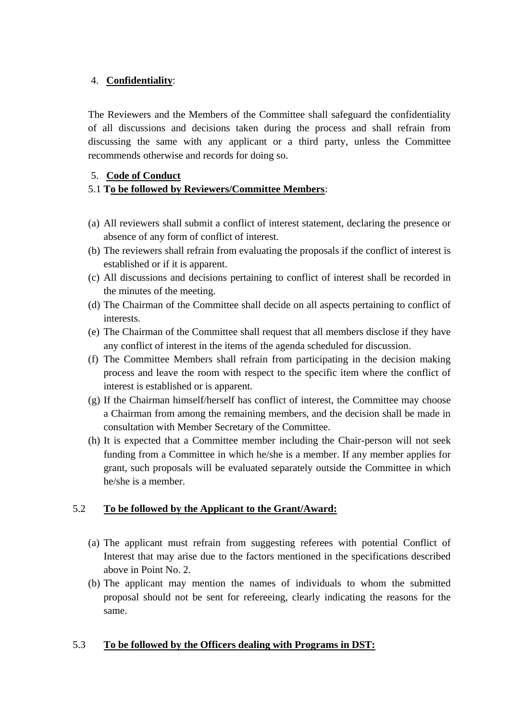### 4. **Confidentiality**:

The Reviewers and the Members of the Committee shall safeguard the confidentiality of all discussions and decisions taken during the process and shall refrain from discussing the same with any applicant or a third party, unless the Committee recommends otherwise and records for doing so.

### 5. **Code of Conduct**

### 5.1 **To be followed by Reviewers/Committee Members**:

- (a) All reviewers shall submit a conflict of interest statement, declaring the presence or absence of any form of conflict of interest.
- (b) The reviewers shall refrain from evaluating the proposals if the conflict of interest is established or if it is apparent.
- (c) All discussions and decisions pertaining to conflict of interest shall be recorded in the minutes of the meeting.
- (d) The Chairman of the Committee shall decide on all aspects pertaining to conflict of interests.
- (e) The Chairman of the Committee shall request that all members disclose if they have any conflict of interest in the items of the agenda scheduled for discussion.
- (f) The Committee Members shall refrain from participating in the decision making process and leave the room with respect to the specific item where the conflict of interest is established or is apparent.
- (g) If the Chairman himself/herself has conflict of interest, the Committee may choose a Chairman from among the remaining members, and the decision shall be made in consultation with Member Secretary of the Committee.
- (h) It is expected that a Committee member including the Chair-person will not seek funding from a Committee in which he/she is a member. If any member applies for grant, such proposals will be evaluated separately outside the Committee in which he/she is a member.

# 5.2 **To be followed by the Applicant to the Grant/Award:**

- (a) The applicant must refrain from suggesting referees with potential Conflict of Interest that may arise due to the factors mentioned in the specifications described above in Point No. 2.
- (b) The applicant may mention the names of individuals to whom the submitted proposal should not be sent for refereeing, clearly indicating the reasons for the same.

# 5.3 **To be followed by the Officers dealing with Programs in DST:**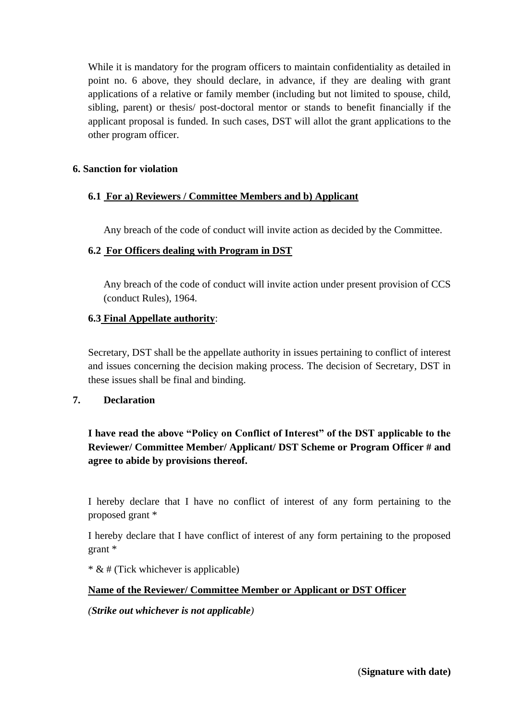While it is mandatory for the program officers to maintain confidentiality as detailed in point no. 6 above, they should declare, in advance, if they are dealing with grant applications of a relative or family member (including but not limited to spouse, child, sibling, parent) or thesis/ post-doctoral mentor or stands to benefit financially if the applicant proposal is funded. In such cases, DST will allot the grant applications to the other program officer.

### **6. Sanction for violation**

# **6.1 For a) Reviewers / Committee Members and b) Applicant**

Any breach of the code of conduct will invite action as decided by the Committee.

### **6.2 For Officers dealing with Program in DST**

Any breach of the code of conduct will invite action under present provision of CCS (conduct Rules), 1964.

### **6.3 Final Appellate authority**:

Secretary, DST shall be the appellate authority in issues pertaining to conflict of interest and issues concerning the decision making process. The decision of Secretary, DST in these issues shall be final and binding.

### **7. Declaration**

**I have read the above "Policy on Conflict of Interest" of the DST applicable to the Reviewer/ Committee Member/ Applicant/ DST Scheme or Program Officer # and agree to abide by provisions thereof.**

I hereby declare that I have no conflict of interest of any form pertaining to the proposed grant \*

I hereby declare that I have conflict of interest of any form pertaining to the proposed grant \*

\* & # (Tick whichever is applicable)

### **Name of the Reviewer/ Committee Member or Applicant or DST Officer**

*(Strike out whichever is not applicable)*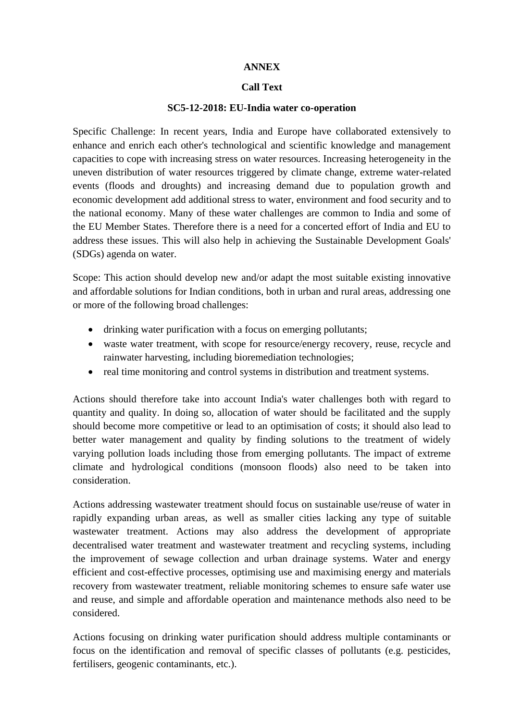#### **ANNEX**

#### **Call Text**

#### **SC5-12-2018: EU-India water co-operation**

Specific Challenge: In recent years, India and Europe have collaborated extensively to enhance and enrich each other's technological and scientific knowledge and management capacities to cope with increasing stress on water resources. Increasing heterogeneity in the uneven distribution of water resources triggered by climate change, extreme water-related events (floods and droughts) and increasing demand due to population growth and economic development add additional stress to water, environment and food security and to the national economy. Many of these water challenges are common to India and some of the EU Member States. Therefore there is a need for a concerted effort of India and EU to address these issues. This will also help in achieving the Sustainable Development Goals' (SDGs) agenda on water.

Scope: This action should develop new and/or adapt the most suitable existing innovative and affordable solutions for Indian conditions, both in urban and rural areas, addressing one or more of the following broad challenges:

- drinking water purification with a focus on emerging pollutants;
- waste water treatment, with scope for resource/energy recovery, reuse, recycle and rainwater harvesting, including bioremediation technologies;
- real time monitoring and control systems in distribution and treatment systems.

Actions should therefore take into account India's water challenges both with regard to quantity and quality. In doing so, allocation of water should be facilitated and the supply should become more competitive or lead to an optimisation of costs; it should also lead to better water management and quality by finding solutions to the treatment of widely varying pollution loads including those from emerging pollutants. The impact of extreme climate and hydrological conditions (monsoon floods) also need to be taken into consideration.

Actions addressing wastewater treatment should focus on sustainable use/reuse of water in rapidly expanding urban areas, as well as smaller cities lacking any type of suitable wastewater treatment. Actions may also address the development of appropriate decentralised water treatment and wastewater treatment and recycling systems, including the improvement of sewage collection and urban drainage systems. Water and energy efficient and cost-effective processes, optimising use and maximising energy and materials recovery from wastewater treatment, reliable monitoring schemes to ensure safe water use and reuse, and simple and affordable operation and maintenance methods also need to be considered.

Actions focusing on drinking water purification should address multiple contaminants or focus on the identification and removal of specific classes of pollutants (e.g. pesticides, fertilisers, geogenic contaminants, etc.).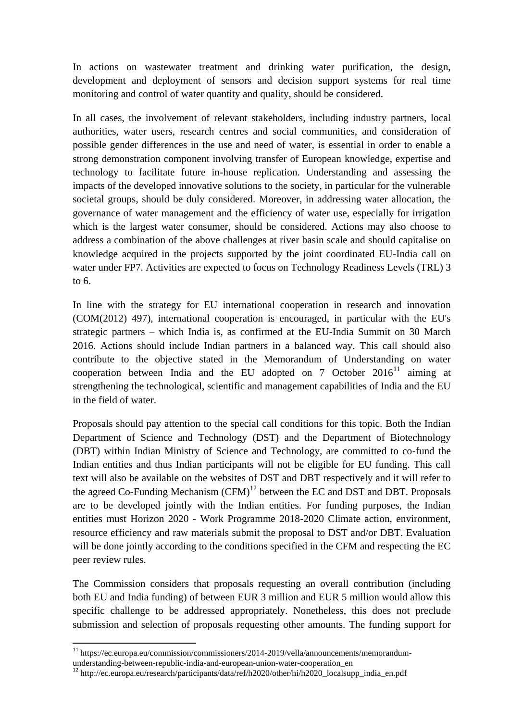In actions on wastewater treatment and drinking water purification, the design, development and deployment of sensors and decision support systems for real time monitoring and control of water quantity and quality, should be considered.

In all cases, the involvement of relevant stakeholders, including industry partners, local authorities, water users, research centres and social communities, and consideration of possible gender differences in the use and need of water, is essential in order to enable a strong demonstration component involving transfer of European knowledge, expertise and technology to facilitate future in-house replication. Understanding and assessing the impacts of the developed innovative solutions to the society, in particular for the vulnerable societal groups, should be duly considered. Moreover, in addressing water allocation, the governance of water management and the efficiency of water use, especially for irrigation which is the largest water consumer, should be considered. Actions may also choose to address a combination of the above challenges at river basin scale and should capitalise on knowledge acquired in the projects supported by the joint coordinated EU-India call on water under FP7. Activities are expected to focus on Technology Readiness Levels (TRL) 3 to 6.

In line with the strategy for EU international cooperation in research and innovation (COM(2012) 497), international cooperation is encouraged, in particular with the EU's strategic partners – which India is, as confirmed at the EU-India Summit on 30 March 2016. Actions should include Indian partners in a balanced way. This call should also contribute to the objective stated in the Memorandum of Understanding on water cooperation between India and the EU adopted on 7 October  $2016<sup>11</sup>$  aiming at strengthening the technological, scientific and management capabilities of India and the EU in the field of water.

Proposals should pay attention to the special call conditions for this topic. Both the Indian Department of Science and Technology (DST) and the Department of Biotechnology (DBT) within Indian Ministry of Science and Technology, are committed to co-fund the Indian entities and thus Indian participants will not be eligible for EU funding. This call text will also be available on the websites of DST and DBT respectively and it will refer to the agreed Co-Funding Mechanism  $(CFM)^{12}$  between the EC and DST and DBT. Proposals are to be developed jointly with the Indian entities. For funding purposes, the Indian entities must Horizon 2020 - Work Programme 2018-2020 Climate action, environment, resource efficiency and raw materials submit the proposal to DST and/or DBT. Evaluation will be done jointly according to the conditions specified in the CFM and respecting the EC peer review rules.

The Commission considers that proposals requesting an overall contribution (including both EU and India funding) of between EUR 3 million and EUR 5 million would allow this specific challenge to be addressed appropriately. Nonetheless, this does not preclude submission and selection of proposals requesting other amounts. The funding support for

 $\overline{a}$ 

<sup>&</sup>lt;sup>11</sup> https://ec.europa.eu/commission/commissioners/2014-2019/vella/announcements/memorandum-

understanding-between-republic-india-and-european-union-water-cooperation\_en

<sup>12</sup> http://ec.europa.eu/research/participants/data/ref/h2020/other/hi/h2020\_localsupp\_india\_en.pdf